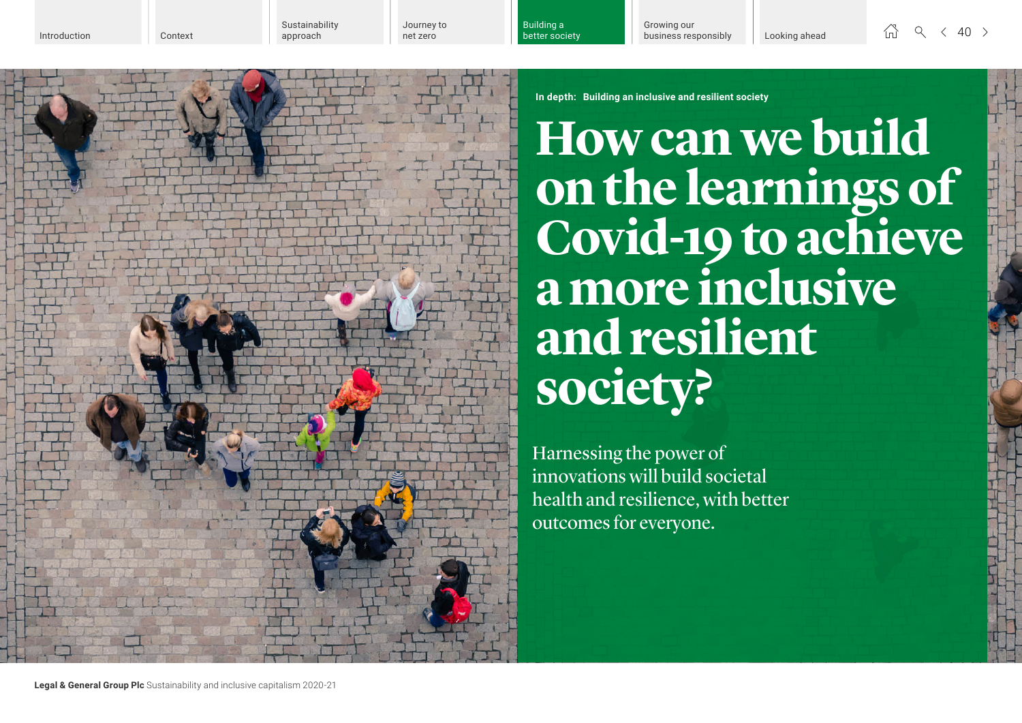Building a better society

 $\begin{array}{ccccc} \stackrel{\wedge}{\wedge} & \heartsuit & \heartsuit & \heartsuit & \heartsuit & \heartsuit & \heartsuit \end{array}$ 

**In depth: Building an inclusive and resilient society**

**How can we build on the learnings of Covid-19 to achieve a more inclusive andresilient society?**

Harnessing the power of innovations will build societal health and resilience, with better outcomes for everyone.